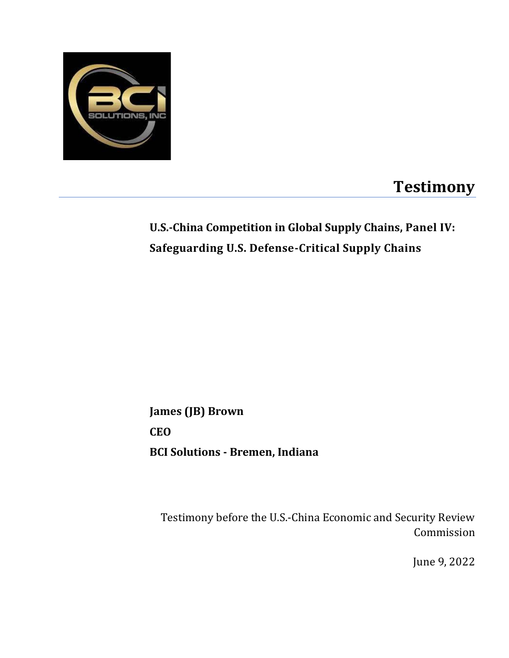

## **Testimony**

## **U.S.-China Competition in Global Supply Chains, Panel IV: Safeguarding U.S. Defense-Critical Supply Chains**

**James (JB) Brown CEO BCI Solutions - Bremen, Indiana**

Testimony before the U.S.-China Economic and Security Review Commission

June 9, 2022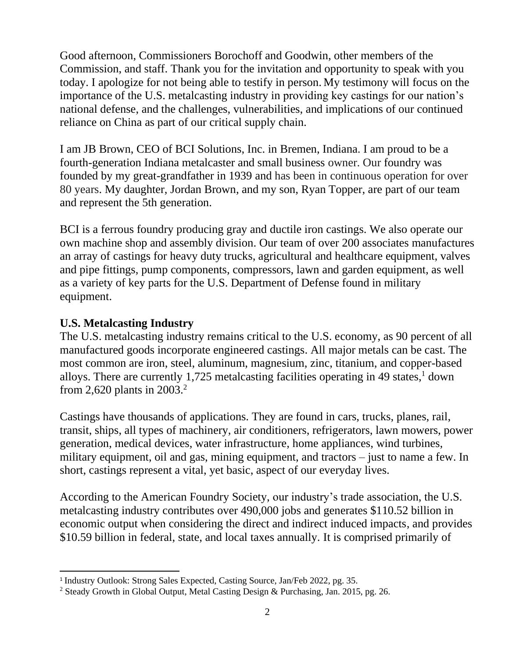Good afternoon, Commissioners Borochoff and Goodwin, other members of the Commission, and staff. Thank you for the invitation and opportunity to speak with you today. I apologize for not being able to testify in person. My testimony will focus on the importance of the U.S. metalcasting industry in providing key castings for our nation's national defense, and the challenges, vulnerabilities, and implications of our continued reliance on China as part of our critical supply chain.

I am JB Brown, CEO of BCI Solutions, Inc. in Bremen, Indiana. I am proud to be a fourth-generation Indiana metalcaster and small business owner. Our foundry was founded by my great-grandfather in 1939 and has been in continuous operation for over 80 years. My daughter, Jordan Brown, and my son, Ryan Topper, are part of our team and represent the 5th generation.

BCI is a ferrous foundry producing gray and ductile iron castings. We also operate our own machine shop and assembly division. Our team of over 200 associates manufactures an array of castings for heavy duty trucks, agricultural and healthcare equipment, valves and pipe fittings, pump components, compressors, lawn and garden equipment, as well as a variety of key parts for the U.S. Department of Defense found in military equipment.

#### **U.S. Metalcasting Industry**

The U.S. metalcasting industry remains critical to the U.S. economy, as 90 percent of all manufactured goods incorporate engineered castings. All major metals can be cast. The most common are iron, steel, aluminum, magnesium, zinc, titanium, and copper-based alloys. There are currently 1,725 metalcasting facilities operating in 49 states, <sup>1</sup> down from 2,620 plants in 2003. 2

Castings have thousands of applications. They are found in cars, trucks, planes, rail, transit, ships, all types of machinery, air conditioners, refrigerators, lawn mowers, power generation, medical devices, water infrastructure, home appliances, wind turbines, military equipment, oil and gas, mining equipment, and tractors – just to name a few. In short, castings represent a vital, yet basic, aspect of our everyday lives.

According to the American Foundry Society, our industry's trade association, the U.S. metalcasting industry contributes over 490,000 jobs and generates \$110.52 billion in economic output when considering the direct and indirect induced impacts, and provides \$10.59 billion in federal, state, and local taxes annually. It is comprised primarily of

<sup>&</sup>lt;sup>1</sup> Industry Outlook: Strong Sales Expected, Casting Source, Jan/Feb 2022, pg. 35.

<sup>2</sup> Steady Growth in Global Output, Metal Casting Design & Purchasing, Jan. 2015, pg. 26.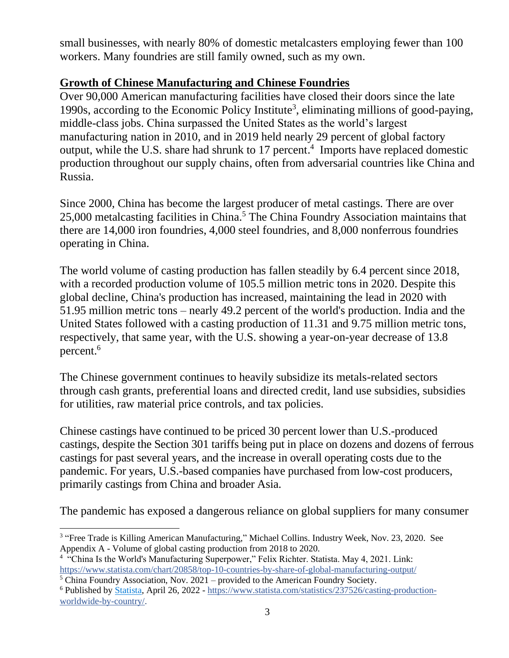small businesses, with nearly 80% of domestic metalcasters employing fewer than 100 workers. Many foundries are still family owned, such as my own.

#### **Growth of Chinese Manufacturing and Chinese Foundries**

Over 90,000 American manufacturing facilities have closed their doors since the late 1990s, according to the Economic Policy Institute<sup>3</sup>, eliminating millions of good-paying, middle-class jobs. China surpassed the United States as the world's largest manufacturing nation in 2010, and in 2019 held nearly 29 percent of global factory output, while the U.S. share had shrunk to 17 percent. 4 Imports have replaced domestic production throughout our supply chains, often from adversarial countries like China and Russia.

Since 2000, China has become the largest producer of metal castings. There are over 25,000 metalcasting facilities in China.<sup>5</sup> The China Foundry Association maintains that there are 14,000 iron foundries, 4,000 steel foundries, and 8,000 nonferrous foundries operating in China.

The world volume of casting production has fallen steadily by 6.4 percent since 2018, with a recorded production volume of 105.5 million metric tons in 2020. Despite this global decline, China's production has increased, maintaining the lead in 2020 with 51.95 million metric tons – nearly 49.2 percent of the world's production. India and the United States followed with a casting production of 11.31 and 9.75 million metric tons, respectively, that same year, with the U.S. showing a year-on-year decrease of 13.8 percent.<sup>6</sup>

The Chinese government continues to heavily subsidize its metals-related sectors through cash grants, preferential loans and directed credit, land use subsidies, subsidies for utilities, raw material price controls, and tax policies.

Chinese castings have continued to be priced 30 percent lower than U.S.-produced castings, despite the Section 301 tariffs being put in place on dozens and dozens of ferrous castings for past several years, and the increase in overall operating costs due to the pandemic. For years, U.S.-based companies have purchased from low-cost producers, primarily castings from China and broader Asia.

The pandemic has exposed a dangerous reliance on global suppliers for many consumer

<sup>&</sup>lt;sup>3</sup> "Free Trade is Killing American Manufacturing," Michael Collins. Industry Week, Nov. 23, 2020. See Appendix A - Volume of global casting production from 2018 to 2020.

<sup>&</sup>lt;sup>4</sup> "China Is the World's Manufacturing Superpower," Felix Richter. Statista. May 4, 2021. Link: <https://www.statista.com/chart/20858/top-10-countries-by-share-of-global-manufacturing-output/>

<sup>5</sup> China Foundry Association, Nov. 2021 – provided to the American Foundry Society.

<sup>6</sup> Published by [Statista,](https://www.statista.com/aboutus/our-research-commitment) April 26, 2022 - [https://www.statista.com/statistics/237526/casting-production](https://www.statista.com/statistics/237526/casting-production-worldwide-by-country/)[worldwide-by-country/.](https://www.statista.com/statistics/237526/casting-production-worldwide-by-country/)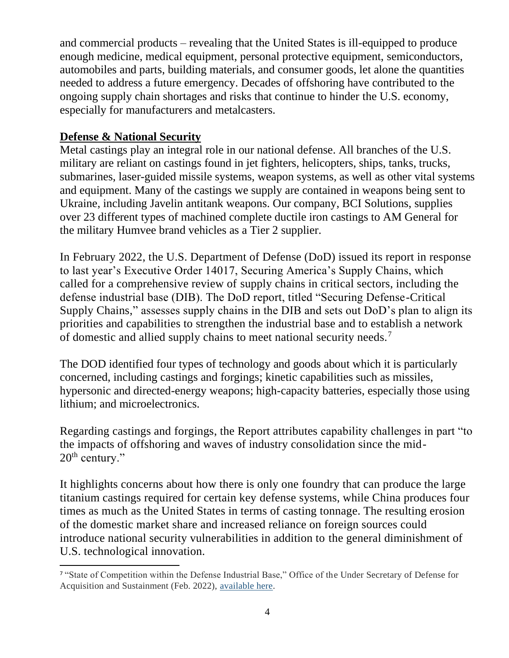and commercial products – revealing that the United States is ill-equipped to produce enough medicine, medical equipment, personal protective equipment, semiconductors, automobiles and parts, building materials, and consumer goods, let alone the quantities needed to address a future emergency. Decades of offshoring have contributed to the ongoing supply chain shortages and risks that continue to hinder the U.S. economy, especially for manufacturers and metalcasters.

#### **Defense & National Security**

Metal castings play an integral role in our national defense. All branches of the U.S. military are reliant on castings found in jet fighters, helicopters, ships, tanks, trucks, submarines, laser-guided missile systems, weapon systems, as well as other vital systems and equipment. Many of the castings we supply are contained in weapons being sent to Ukraine, including Javelin antitank weapons. Our company, BCI Solutions, supplies over 23 different types of machined complete ductile iron castings to AM General for the military Humvee brand vehicles as a Tier 2 supplier.

In February 2022, the U.S. Department of Defense (DoD) issued its report in response to last year's Executive Order 14017, Securing America's Supply Chains, which called for a comprehensive review of supply chains in critical sectors, including the defense industrial base (DIB). The DoD report, titled "Securing Defense-Critical Supply Chains," assesses supply chains in the DIB and sets out DoD's plan to align its priorities and capabilities to strengthen the industrial base and to establish a network of domestic and allied supply chains to meet national security needs.<sup>7</sup>

The DOD identified four types of technology and goods about which it is particularly concerned, including castings and forgings; kinetic capabilities such as missiles, hypersonic and directed-energy weapons; high-capacity batteries, especially those using lithium; and microelectronics.

Regarding castings and forgings, the Report attributes capability challenges in part "to the impacts of offshoring and waves of industry consolidation since the mid- $20<sup>th</sup>$  century."

It highlights concerns about how there is only one foundry that can produce the large titanium castings required for certain key defense systems, while China produces four times as much as the United States in terms of casting tonnage. The resulting erosion of the domestic market share and increased reliance on foreign sources could introduce national security vulnerabilities in addition to the general diminishment of U.S. technological innovation.

<sup>7</sup> "State of Competition within the Defense Industrial Base," Office of the Under Secretary of Defense for Acquisition and Sustainment (Feb. 2022), [available here.](http://media.defense.gov/2022/Feb/15/2002939087/-1/-1/1/STATE-OF-COMPETITION-WITHIN-THE-DEFENSE-INDUSTRIAL-BASE.PDF)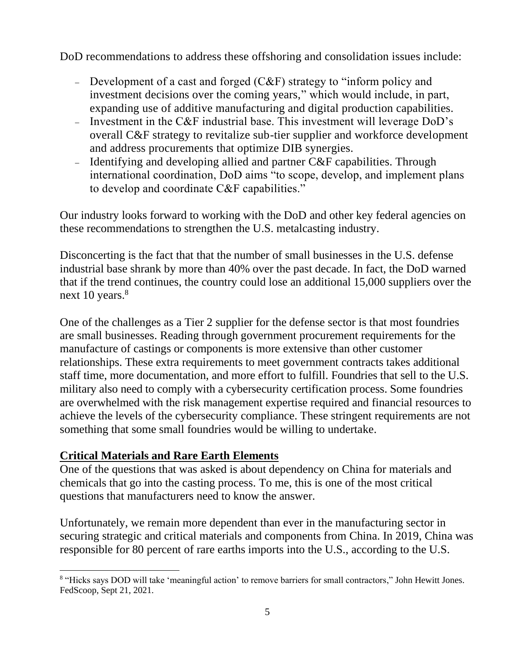DoD recommendations to address these offshoring and consolidation issues include:

- − Development of a cast and forged (C&F) strategy to "inform policy and investment decisions over the coming years," which would include, in part, expanding use of additive manufacturing and digital production capabilities.
- − Investment in the C&F industrial base. This investment will leverage DoD's overall C&F strategy to revitalize sub-tier supplier and workforce development and address procurements that optimize DIB synergies.
- − Identifying and developing allied and partner C&F capabilities. Through international coordination, DoD aims "to scope, develop, and implement plans to develop and coordinate C&F capabilities."

Our industry looks forward to working with the DoD and other key federal agencies on these recommendations to strengthen the U.S. metalcasting industry.

Disconcerting is the fact that that the number of small businesses in the U.S. defense industrial base shrank by more than 40% over the past decade. In fact, the DoD warned that if the trend continues, the country could lose an additional 15,000 suppliers over the next 10 years.<sup>8</sup>

One of the challenges as a Tier 2 supplier for the defense sector is that most foundries are small businesses. Reading through government procurement requirements for the manufacture of castings or components is more extensive than other customer relationships. These extra requirements to meet government contracts takes additional staff time, more documentation, and more effort to fulfill. Foundries that sell to the U.S. military also need to comply with a cybersecurity certification process. Some foundries are overwhelmed with the risk management expertise required and financial resources to achieve the levels of the cybersecurity compliance. These stringent requirements are not something that some small foundries would be willing to undertake.

#### **Critical Materials and Rare Earth Elements**

One of the questions that was asked is about dependency on China for materials and chemicals that go into the casting process. To me, this is one of the most critical questions that manufacturers need to know the answer.

Unfortunately, we remain more dependent than ever in the manufacturing sector in securing strategic and critical materials and components from China. In 2019, China was responsible for 80 percent of rare earths imports into the U.S., according to the U.S.

<sup>&</sup>lt;sup>8</sup> "Hicks says DOD will take 'meaningful action' to remove barriers for small contractors," John Hewitt Jones. FedScoop, Sept 21, 2021.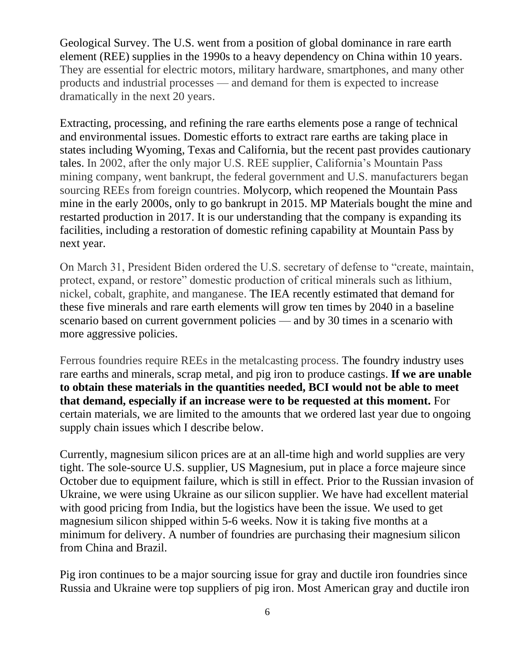Geological Survey. The U.S. went from a position of global dominance in rare earth element (REE) supplies in the 1990s to a heavy dependency on China within 10 years. They are essential for electric motors, military hardware, smartphones, and many other products and industrial processes — and demand for them is expected to increase dramatically in the next 20 years.

Extracting, processing, and refining the rare earths elements pose a range of technical and environmental issues. Domestic efforts to extract rare earths are taking place in states including Wyoming, Texas and California, but the recent past provides cautionary tales. In 2002, after the only major U.S. REE supplier, California's Mountain Pass mining company, went bankrupt, the federal government and U.S. manufacturers began sourcing REEs from foreign countries. Molycorp, which reopened the Mountain Pass mine in the early 2000s, only to go bankrupt in 2015. MP Materials bought the mine and restarted production in 2017. It is our understanding that the company is expanding its facilities, including a restoration of domestic refining capability at Mountain Pass by next year.

On March 31, President Biden ordered the U.S. secretary of defense to "create, maintain, protect, expand, or restore" domestic production of critical minerals such as lithium, nickel, cobalt, graphite, and manganese. The IEA recently estimated that demand for these five minerals and rare earth elements will grow ten times by 2040 in a baseline scenario based on current government policies — and by 30 times in a scenario with more aggressive policies.

Ferrous foundries require REEs in the metalcasting process. The foundry industry uses rare earths and minerals, scrap metal, and pig iron to produce castings. **If we are unable to obtain these materials in the quantities needed, BCI would not be able to meet that demand, especially if an increase were to be requested at this moment.** For certain materials, we are limited to the amounts that we ordered last year due to ongoing supply chain issues which I describe below.

Currently, magnesium silicon prices are at an all-time high and world supplies are very tight. The sole-source U.S. supplier, US Magnesium, put in place a force majeure since October due to equipment failure, which is still in effect. Prior to the Russian invasion of Ukraine, we were using Ukraine as our silicon supplier. We have had excellent material with good pricing from India, but the logistics have been the issue. We used to get magnesium silicon shipped within 5-6 weeks. Now it is taking five months at a minimum for delivery. A number of foundries are purchasing their magnesium silicon from China and Brazil.

Pig iron continues to be a major sourcing issue for gray and ductile iron foundries since Russia and Ukraine were top suppliers of pig iron. Most American gray and ductile iron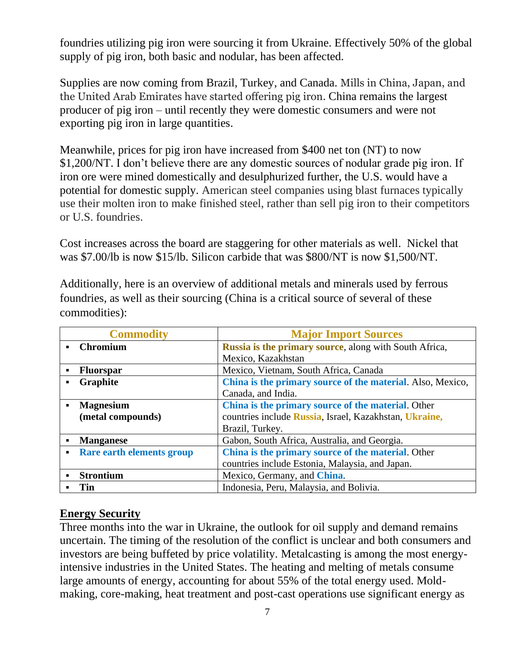foundries utilizing pig iron were sourcing it from Ukraine. Effectively 50% of the global supply of pig iron, both basic and nodular, has been affected.

Supplies are now coming from Brazil, Turkey, and Canada. Mills in China, Japan, and the United Arab Emirates have started offering pig iron. China remains the largest producer of pig iron – until recently they were domestic consumers and were not exporting pig iron in large quantities.

Meanwhile, prices for pig iron have increased from \$400 net ton (NT) to now \$1,200/NT. I don't believe there are any domestic sources of nodular grade pig iron. If iron ore were mined domestically and desulphurized further, the U.S. would have a potential for domestic supply. American steel companies using blast furnaces typically use their molten iron to make finished steel, rather than sell pig iron to their competitors or U.S. foundries.

Cost increases across the board are staggering for other materials as well. Nickel that was \$7.00/lb is now \$15/lb. Silicon carbide that was \$800/NT is now \$1,500/NT.

Additionally, here is an overview of additional metals and minerals used by ferrous foundries, as well as their sourcing (China is a critical source of several of these commodities):

| <b>Commodity</b>                            | <b>Major Import Sources</b>                                |
|---------------------------------------------|------------------------------------------------------------|
| <b>Chromium</b><br>$\blacksquare$           | Russia is the primary source, along with South Africa,     |
|                                             | Mexico, Kazakhstan                                         |
| <b>Fluorspar</b><br>$\blacksquare$          | Mexico, Vietnam, South Africa, Canada                      |
| Graphite<br>$\blacksquare$                  | China is the primary source of the material. Also, Mexico, |
|                                             | Canada, and India.                                         |
| <b>Magnesium</b><br>$\blacksquare$          | China is the primary source of the material. Other         |
| (metal compounds)                           | countries include Russia, Israel, Kazakhstan, Ukraine,     |
|                                             | Brazil, Turkey.                                            |
| <b>Manganese</b>                            | Gabon, South Africa, Australia, and Georgia.               |
| Rare earth elements group<br>$\blacksquare$ | China is the primary source of the material. Other         |
|                                             | countries include Estonia, Malaysia, and Japan.            |
| <b>Strontium</b>                            | Mexico, Germany, and China.                                |
| <b>Tin</b>                                  | Indonesia, Peru, Malaysia, and Bolivia.                    |

#### **Energy Security**

Three months into the war in Ukraine, the outlook for oil supply and demand remains uncertain. The timing of the resolution of the conflict is unclear and both consumers and investors are being buffeted by price volatility. Metalcasting is among the most energyintensive industries in the United States. The heating and melting of metals consume large amounts of energy, accounting for about 55% of the total energy used. Moldmaking, core-making, heat treatment and post-cast operations use significant energy as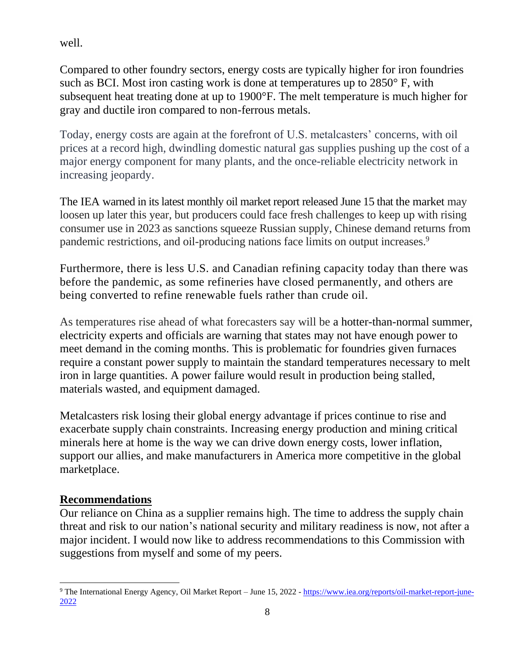well.

Compared to other foundry sectors, energy costs are typically higher for iron foundries such as BCI. Most iron casting work is done at temperatures up to 2850° F, with subsequent heat treating done at up to 1900°F. The melt temperature is much higher for gray and ductile iron compared to non-ferrous metals.

Today, energy costs are again at the forefront of U.S. metalcasters' concerns, with oil prices at a record high, dwindling domestic natural gas supplies pushing up the cost of a major energy component for many plants, and the once-reliable electricity network in increasing jeopardy.

The IEA warned in its latest monthly oil market report released June 15 that the market may loosen up later this year, but producers could face fresh challenges to keep up with rising consumer use in 2023 as sanctions squeeze Russian supply, Chinese demand returns from pandemic restrictions, and oil-producing nations face limits on output increases.<sup>9</sup>

Furthermore, there is less U.S. and Canadian refining capacity today than there was before the pandemic, as some refineries have closed permanently, and others are being converted to refine renewable fuels rather than crude oil.

As temperatures rise ahead of what forecasters say will be a hotter-than-normal summer, electricity experts and officials are warning that states may not have enough power to meet demand in the coming months. This is problematic for foundries given furnaces require a constant power supply to maintain the standard temperatures necessary to melt iron in large quantities. A power failure would result in production being stalled, materials wasted, and equipment damaged.

Metalcasters risk losing their global energy advantage if prices continue to rise and exacerbate supply chain constraints. Increasing energy production and mining critical minerals here at home is the way we can drive down energy costs, lower inflation, support our allies, and make manufacturers in America more competitive in the global marketplace.

#### **Recommendations**

Our reliance on China as a supplier remains high. The time to address the supply chain threat and risk to our nation's national security and military readiness is now, not after a major incident. I would now like to address recommendations to this Commission with suggestions from myself and some of my peers.

<sup>9</sup> The International Energy Agency, Oil Market Report – June 15, 2022 - [https://www.iea.org/reports/oil-market-report-june-](https://www.iea.org/reports/oil-market-report-june-2022)[2022](https://www.iea.org/reports/oil-market-report-june-2022)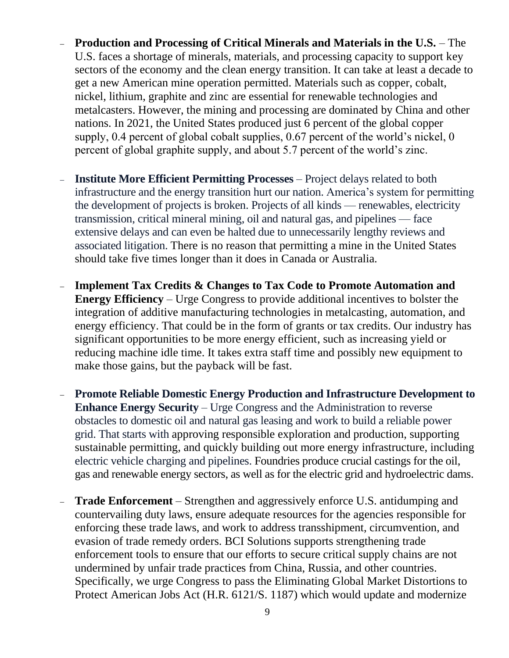- − **Production and Processing of Critical Minerals and Materials in the U.S.** The U.S. faces a shortage of minerals, materials, and processing capacity to support key sectors of the economy and the clean energy transition. It can take at least a decade to get a new American mine operation permitted. Materials such as copper, cobalt, nickel, lithium, graphite and zinc are essential for renewable technologies and metalcasters. However, the mining and processing are dominated by China and other nations. In 2021, the United States produced just 6 percent of the global copper supply, 0.4 percent of global cobalt supplies, 0.67 percent of the world's nickel, 0 percent of global graphite supply, and about 5.7 percent of the world's zinc.
- − **Institute More Efficient Permitting Processes** Project delays related to both infrastructure and the energy transition hurt our nation. America's system for permitting the development of projects is broken. Projects of all kinds — renewables, electricity transmission, critical mineral mining, oil and natural gas, and pipelines — face extensive delays and can even be halted due to unnecessarily lengthy reviews and associated litigation. There is no reason that permitting a mine in the United States should take five times longer than it does in Canada or Australia.
- − **Implement Tax Credits & Changes to Tax Code to Promote Automation and Energy Efficiency** – Urge Congress to provide additional incentives to bolster the integration of additive manufacturing technologies in metalcasting, automation, and energy efficiency. That could be in the form of grants or tax credits. Our industry has significant opportunities to be more energy efficient, such as increasing yield or reducing machine idle time. It takes extra staff time and possibly new equipment to make those gains, but the payback will be fast.
- − **Promote Reliable Domestic Energy Production and Infrastructure Development to Enhance Energy Security** – Urge Congress and the Administration to reverse obstacles to domestic oil and natural gas leasing and work to build a reliable power grid. That starts with approving responsible exploration and production, supporting sustainable permitting, and quickly building out more energy infrastructure, including electric vehicle charging and pipelines. Foundries produce crucial castings for the oil, gas and renewable energy sectors, as well as for the electric grid and hydroelectric dams.
- − **Trade Enforcement** Strengthen and aggressively enforce U.S. antidumping and countervailing duty laws, ensure adequate resources for the agencies responsible for enforcing these trade laws, and work to address transshipment, circumvention, and evasion of trade remedy orders. BCI Solutions supports strengthening trade enforcement tools to ensure that our efforts to secure critical supply chains are not undermined by unfair trade practices from China, Russia, and other countries. Specifically, we urge Congress to pass the Eliminating Global Market Distortions to Protect American Jobs Act (H.R. 6121/S. 1187) which would update and modernize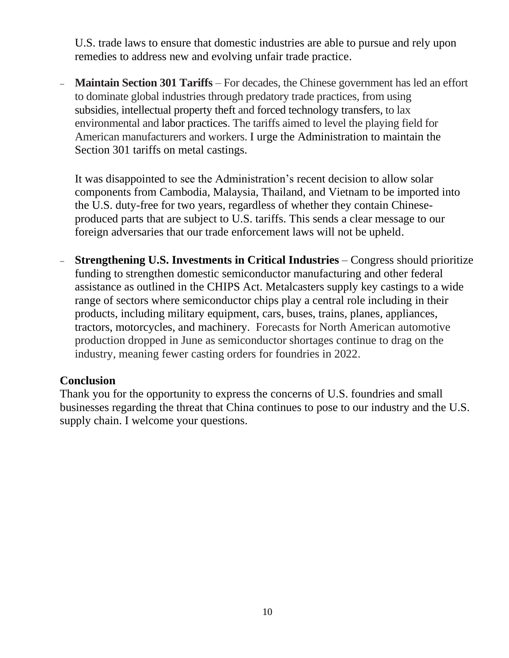U.S. trade laws to ensure that domestic industries are able to pursue and rely upon remedies to address new and evolving unfair trade practice.

− **Maintain Section 301 Tariffs** – For decades, the Chinese government has led an effort to dominate global industries through predatory trade practices, from using subsidies, intellectual property theft and forced technology transfers, to lax environmental and labor practices. The tariffs aimed to level the playing field for American manufacturers and workers. I urge the Administration to maintain the Section 301 tariffs on metal castings.

It was disappointed to see the Administration's recent decision to allow solar components from Cambodia, Malaysia, Thailand, and Vietnam to be imported into the U.S. duty-free for two years, regardless of whether they contain Chineseproduced parts that are subject to U.S. tariffs. This sends a clear message to our foreign adversaries that our trade enforcement laws will not be upheld.

− **Strengthening U.S. Investments in Critical Industries** – Congress should prioritize funding to strengthen domestic semiconductor manufacturing and other federal assistance as outlined in the CHIPS Act. Metalcasters supply key castings to a wide range of sectors where semiconductor chips play a central role including in their products, including military equipment, cars, buses, trains, planes, appliances, tractors, motorcycles, and machinery. Forecasts for North American automotive production dropped in June as semiconductor shortages continue to drag on the industry, meaning fewer casting orders for foundries in 2022.

#### **Conclusion**

Thank you for the opportunity to express the concerns of U.S. foundries and small businesses regarding the threat that China continues to pose to our industry and the U.S. supply chain. I welcome your questions.